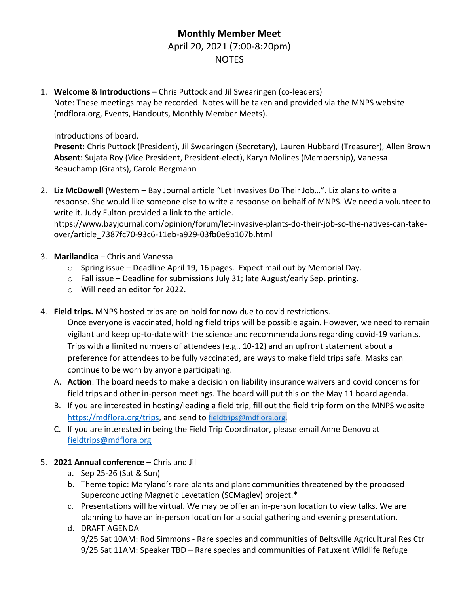## **Monthly Member Meet**  April 20, 2021 (7:00-8:20pm) NOTES

1. **Welcome & Introductions** – Chris Puttock and Jil Swearingen (co-leaders) Note: These meetings may be recorded. Notes will be taken and provided via the MNPS website (mdflora.org, Events, Handouts, Monthly Member Meets).

Introductions of board.

**Present**: Chris Puttock (President), Jil Swearingen (Secretary), Lauren Hubbard (Treasurer), Allen Brown **Absent**: Sujata Roy (Vice President, President-elect), Karyn Molines (Membership), Vanessa Beauchamp (Grants), Carole Bergmann

2. **Liz McDowell** (Western – Bay Journal article "Let Invasives Do Their Job…". Liz plans to write a response. She would like someone else to write a response on behalf of MNPS. We need a volunteer to write it. Judy Fulton provided a link to the article.

https://www.bayjournal.com/opinion/forum/let-invasive-plants-do-their-job-so-the-natives-can-takeover/article\_7387fc70-93c6-11eb-a929-03fb0e9b107b.html

- 3. **Marilandica** Chris and Vanessa
	- o Spring issue Deadline April 19, 16 pages. Expect mail out by Memorial Day.
	- o Fall issue Deadline for submissions July 31; late August/early Sep. printing.
	- o Will need an editor for 2022.
- 4. **Field trips.** MNPS hosted trips are on hold for now due to covid restrictions.

Once everyone is vaccinated, holding field trips will be possible again. However, we need to remain vigilant and keep up-to-date with the science and recommendations regarding covid-19 variants. Trips with a limited numbers of attendees (e.g., 10-12) and an upfront statement about a preference for attendees to be fully vaccinated, are ways to make field trips safe. Masks can continue to be worn by anyone participating.

- A. **Action**: The board needs to make a decision on liability insurance waivers and covid concerns for field trips and other in-person meetings. The board will put this on the May 11 board agenda.
- B. If you are interested in hosting/leading a field trip, fill out the field trip form on the MNPS website [https://mdflora.org/trips,](https://mdflora.org/trips) and send to [fieldtrips@mdflora.org](mailto:fieldtrips@mdflora.org).
- C. If you are interested in being the Field Trip Coordinator, please email Anne Denovo at [fieldtrips@mdflora.org](mailto:fieldtrips@mdflora.org)
- 5. **2021 Annual conference** Chris and Jil
	- a. Sep 25-26 (Sat & Sun)
	- b. Theme topic: Maryland's rare plants and plant communities threatened by the proposed Superconducting Magnetic Levetation (SCMaglev) project.\*
	- c. Presentations will be virtual. We may be offer an in-person location to view talks. We are planning to have an in-person location for a social gathering and evening presentation.
	- d. DRAFT AGENDA 9/25 Sat 10AM: Rod Simmons - Rare species and communities of Beltsville Agricultural Res Ctr 9/25 Sat 11AM: Speaker TBD – Rare species and communities of Patuxent Wildlife Refuge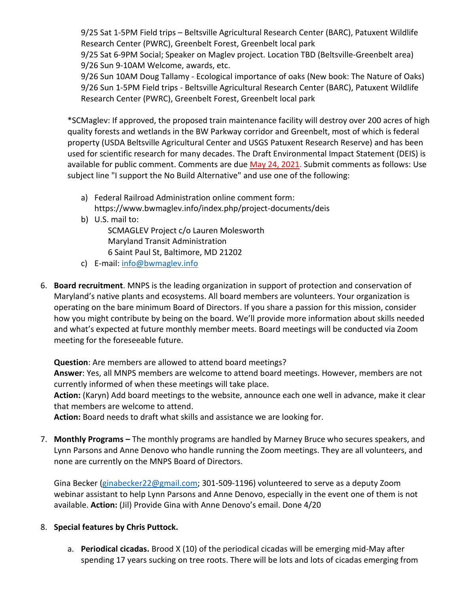9/25 Sat 1-5PM Field trips – Beltsville Agricultural Research Center (BARC), Patuxent Wildlife Research Center (PWRC), Greenbelt Forest, Greenbelt local park

9/25 Sat 6-9PM Social; Speaker on Maglev project. Location TBD (Beltsville-Greenbelt area) 9/26 Sun 9-10AM Welcome, awards, etc.

9/26 Sun 10AM Doug Tallamy - Ecological importance of oaks (New book: The Nature of Oaks) 9/26 Sun 1-5PM Field trips - Beltsville Agricultural Research Center (BARC), Patuxent Wildlife Research Center (PWRC), Greenbelt Forest, Greenbelt local park

\*SCMaglev: If approved, the proposed train maintenance facility will destroy over 200 acres of high quality forests and wetlands in the BW Parkway corridor and Greenbelt, most of which is federal property (USDA Beltsville Agricultural Center and USGS Patuxent Research Reserve) and has been used for scientific research for many decades. The Draft Environmental Impact Statement (DEIS) is available for public comment. Comments are due May 24, 2021. Submit comments as follows: Use subject line "I support the No Build Alternative" and use one of the following:

- a) Federal Railroad Administration online comment form:
- https://www.bwmaglev.info/index.php/project-documents/deis
- b) U.S. mail to:

SCMAGLEV Project c/o Lauren Molesworth Maryland Transit Administration 6 Saint Paul St, Baltimore, MD 21202

- c) E-mail: [info@bwmaglev.info](mailto:info@bwmaglev.info)
- 6. **Board recruitment**. MNPS is the leading organization in support of protection and conservation of Maryland's native plants and ecosystems. All board members are volunteers. Your organization is operating on the bare minimum Board of Directors. If you share a passion for this mission, consider how you might contribute by being on the board. We'll provide more information about skills needed and what's expected at future monthly member meets. Board meetings will be conducted via Zoom meeting for the foreseeable future.

**Question**: Are members are allowed to attend board meetings?

**Answer**: Yes, all MNPS members are welcome to attend board meetings. However, members are not currently informed of when these meetings will take place.

**Action:** (Karyn) Add board meetings to the website, announce each one well in advance, make it clear that members are welcome to attend.

**Action:** Board needs to draft what skills and assistance we are looking for.

7. **Monthly Programs –** The monthly programs are handled by Marney Bruce who secures speakers, and Lynn Parsons and Anne Denovo who handle running the Zoom meetings. They are all volunteers, and none are currently on the MNPS Board of Directors.

Gina Becker [\(ginabecker22@gmail.com;](mailto:ginabecker22@gmail.com) 301-509-1196) volunteered to serve as a deputy Zoom webinar assistant to help Lynn Parsons and Anne Denovo, especially in the event one of them is not available. **Action:** (Jil) Provide Gina with Anne Denovo's email. Done 4/20

## 8. **Special features by Chris Puttock.**

a. **Periodical cicadas.** Brood X (10) of the periodical cicadas will be emerging mid-May after spending 17 years sucking on tree roots. There will be lots and lots of cicadas emerging from